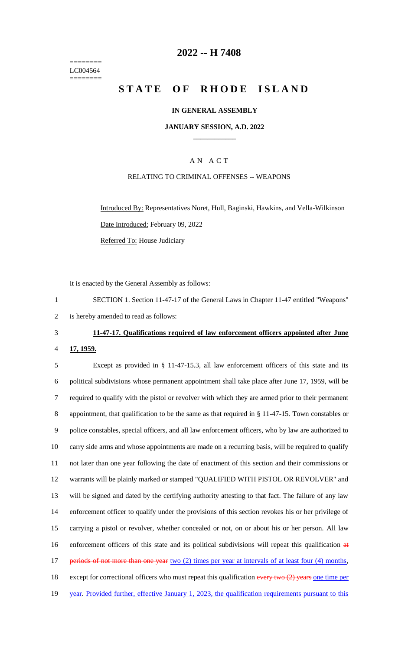======== LC004564 ========

#### **2022 -- H 7408**

# **STATE OF RHODE ISLAND**

#### **IN GENERAL ASSEMBLY**

#### **JANUARY SESSION, A.D. 2022 \_\_\_\_\_\_\_\_\_\_\_\_**

#### A N A C T

#### RELATING TO CRIMINAL OFFENSES -- WEAPONS

Introduced By: Representatives Noret, Hull, Baginski, Hawkins, and Vella-Wilkinson Date Introduced: February 09, 2022 Referred To: House Judiciary

It is enacted by the General Assembly as follows:

1 SECTION 1. Section 11-47-17 of the General Laws in Chapter 11-47 entitled "Weapons" 2 is hereby amended to read as follows:

# 3 **11-47-17. Qualifications required of law enforcement officers appointed after June**

4 **17, 1959.**

 Except as provided in § 11-47-15.3, all law enforcement officers of this state and its political subdivisions whose permanent appointment shall take place after June 17, 1959, will be required to qualify with the pistol or revolver with which they are armed prior to their permanent appointment, that qualification to be the same as that required in § 11-47-15. Town constables or police constables, special officers, and all law enforcement officers, who by law are authorized to carry side arms and whose appointments are made on a recurring basis, will be required to qualify not later than one year following the date of enactment of this section and their commissions or warrants will be plainly marked or stamped "QUALIFIED WITH PISTOL OR REVOLVER" and will be signed and dated by the certifying authority attesting to that fact. The failure of any law enforcement officer to qualify under the provisions of this section revokes his or her privilege of carrying a pistol or revolver, whether concealed or not, on or about his or her person. All law enforcement officers of this state and its political subdivisions will repeat this qualification at 17 periods of not more than one year two (2) times per year at intervals of at least four (4) months, 18 except for correctional officers who must repeat this qualification every two (2) years one time per 19 year. Provided further, effective January 1, 2023, the qualification requirements pursuant to this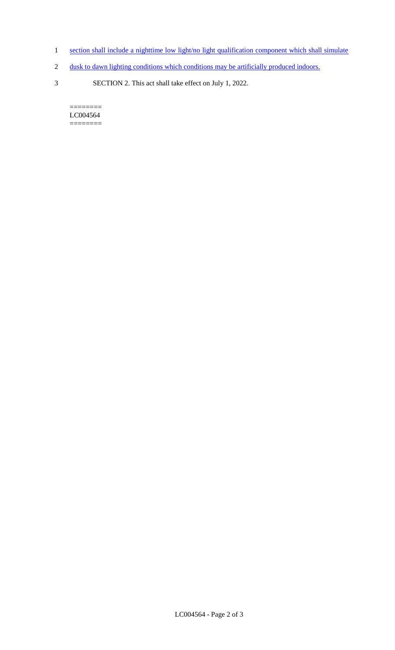- 1 section shall include a nighttime low light/no light qualification component which shall simulate
- 2 dusk to dawn lighting conditions which conditions may be artificially produced indoors.
- 3 SECTION 2. This act shall take effect on July 1, 2022.

 $=$ LC004564 ========